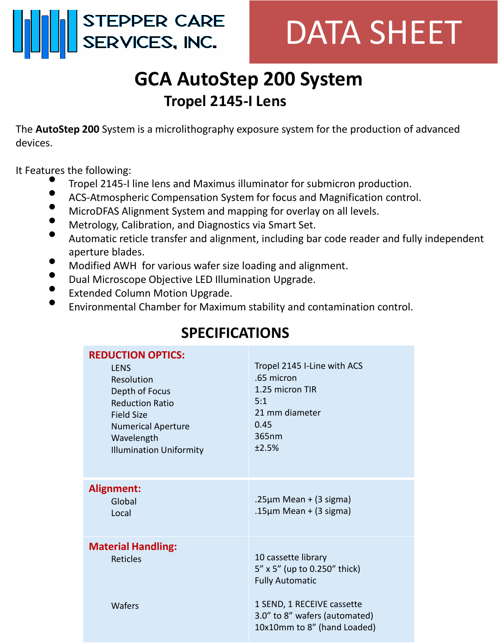

## DATA SHEET

## **GCA AutoStep 200 System Tropel 2145-I Lens**

The **AutoStep 200** System is a microlithography exposure system for the production of advanced devices.

It Features the following:

- Tropel 2145-I line lens and Maximus illuminator for submicron production.
- ACS-Atmospheric Compensation System for focus and Magnification control.
- MicroDFAS Alignment System and mapping for overlay on all levels.
- Metrology, Calibration, and Diagnostics via Smart Set.
- Automatic reticle transfer and alignment, including bar code reader and fully independent aperture blades.
- Modified AWH for various wafer size loading and alignment.
- Dual Microscope Objective LED Illumination Upgrade.
- Extended Column Motion Upgrade.
- Environmental Chamber for Maximum stability and contamination control.

| <b>REDUCTION OPTICS:</b><br><b>LENS</b><br>Resolution<br>Depth of Focus<br><b>Reduction Ratio</b><br><b>Field Size</b><br><b>Numerical Aperture</b><br>Wavelength<br><b>Illumination Uniformity</b> | Tropel 2145 I-Line with ACS<br>.65 micron<br>1.25 micron TIR<br>5:1<br>21 mm diameter<br>0.45<br>365nm<br>±2.5% |
|-----------------------------------------------------------------------------------------------------------------------------------------------------------------------------------------------------|-----------------------------------------------------------------------------------------------------------------|
| <b>Alignment:</b><br>Global<br>Local                                                                                                                                                                | .25 $\mu$ m Mean + (3 sigma)<br>.15 $\mu$ m Mean + (3 sigma)                                                    |
| <b>Material Handling:</b><br><b>Reticles</b>                                                                                                                                                        | 10 cassette library<br>5" x 5" (up to 0.250" thick)<br><b>Fully Automatic</b>                                   |
| Wafers                                                                                                                                                                                              | 1 SEND, 1 RECEIVE cassette<br>3.0" to 8" wafers (automated)<br>10x10mm to 8" (hand Loaded)                      |

## **SPECIFICATIONS**